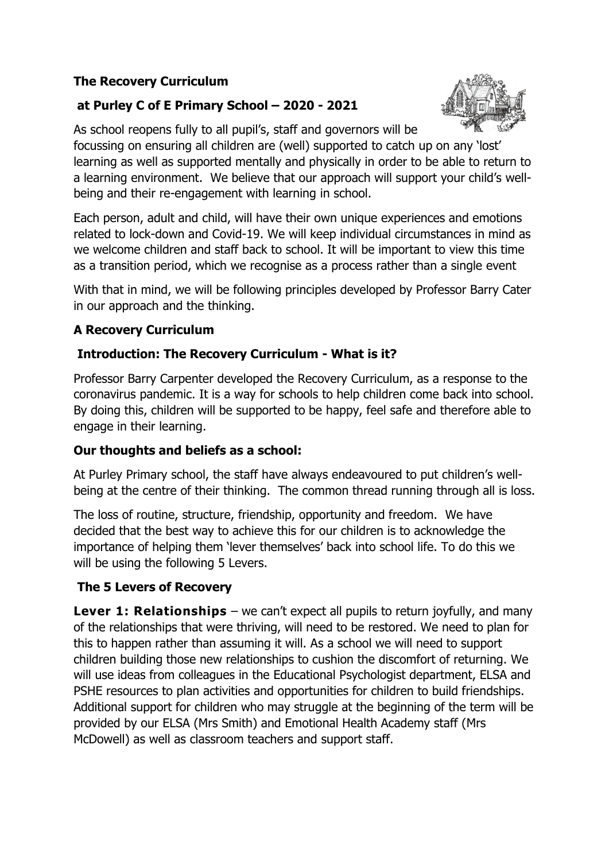### **The Recovery Curriculum**

# **at Purley C of E Primary School – 2020 - 2021**



As school reopens fully to all pupil's, staff and governors will be focussing on ensuring all children are (well) supported to catch up on any 'lost' learning as well as supported mentally and physically in order to be able to return to a learning environment. We believe that our approach will support your child's wellbeing and their re-engagement with learning in school.

Each person, adult and child, will have their own unique experiences and emotions related to lock-down and Covid-19. We will keep individual circumstances in mind as we welcome children and staff back to school. It will be important to view this time as a transition period, which we recognise as a process rather than a single event

With that in mind, we will be following principles developed by Professor Barry Cater in our approach and the thinking.

### **A Recovery Curriculum**

### **Introduction: The Recovery Curriculum - What is it?**

Professor Barry Carpenter developed the Recovery Curriculum, as a response to the coronavirus pandemic. It is a way for schools to help children come back into school. By doing this, children will be supported to be happy, feel safe and therefore able to engage in their learning.

### **Our thoughts and beliefs as a school:**

At Purley Primary school, the staff have always endeavoured to put children's wellbeing at the centre of their thinking. The common thread running through all is loss.

The loss of routine, structure, friendship, opportunity and freedom. We have decided that the best way to achieve this for our children is to acknowledge the importance of helping them 'lever themselves' back into school life. To do this we will be using the following 5 Levers.

# **The 5 Levers of Recovery**

**Lever 1: Relationships** – we can't expect all pupils to return joyfully, and many of the relationships that were thriving, will need to be restored. We need to plan for this to happen rather than assuming it will. As a school we will need to support children building those new relationships to cushion the discomfort of returning. We will use ideas from colleagues in the Educational Psychologist department, ELSA and PSHE resources to plan activities and opportunities for children to build friendships. Additional support for children who may struggle at the beginning of the term will be provided by our ELSA (Mrs Smith) and Emotional Health Academy staff (Mrs McDowell) as well as classroom teachers and support staff.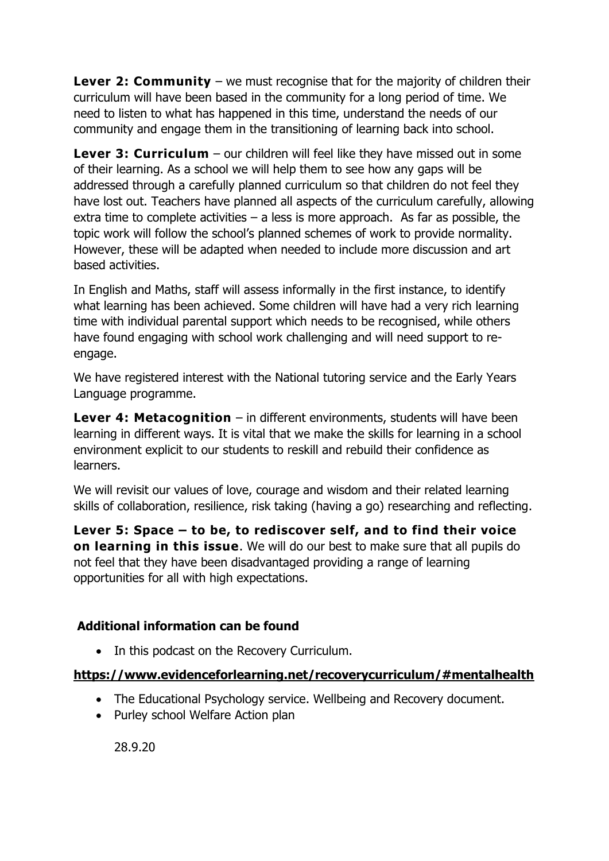**Lever 2: Community** – we must recognise that for the majority of children their curriculum will have been based in the community for a long period of time. We need to listen to what has happened in this time, understand the needs of our community and engage them in the transitioning of learning back into school.

**Lever 3: Curriculum** – our children will feel like they have missed out in some of their learning. As a school we will help them to see how any gaps will be addressed through a carefully planned curriculum so that children do not feel they have lost out. Teachers have planned all aspects of the curriculum carefully, allowing extra time to complete activities  $-$  a less is more approach. As far as possible, the topic work will follow the school's planned schemes of work to provide normality. However, these will be adapted when needed to include more discussion and art based activities.

In English and Maths, staff will assess informally in the first instance, to identify what learning has been achieved. Some children will have had a very rich learning time with individual parental support which needs to be recognised, while others have found engaging with school work challenging and will need support to reengage.

We have registered interest with the National tutoring service and the Early Years Language programme.

**Lever 4: Metacognition** – in different environments, students will have been learning in different ways. It is vital that we make the skills for learning in a school environment explicit to our students to reskill and rebuild their confidence as learners.

We will revisit our values of love, courage and wisdom and their related learning skills of collaboration, resilience, risk taking (having a go) researching and reflecting.

**Lever 5: Space – to be, to rediscover self, and to find their voice on learning in this issue**. We will do our best to make sure that all pupils do not feel that they have been disadvantaged providing a range of learning opportunities for all with high expectations.

### **Additional information can be found**

• In this podcast on the Recovery Curriculum.

# **<https://www.evidenceforlearning.net/recoverycurriculum/#mentalhealth>**

- The Educational Psychology service. Wellbeing and Recovery document.
- Purley school Welfare Action plan

28.9.20